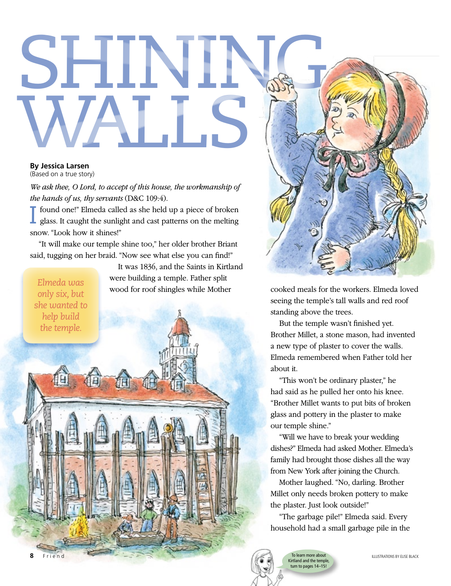## SHINING, WALLS

## **By Jessica Larsen**

(Based on a true story)

*We ask thee, O Lord, to accept of this house, the workmanship of the hands of us, thy servants* (D&C 109:4).

I found one!" Elmeda called as she held up a piece of broken glass. It caught the sunlight and cast patterns on the melting snow. "Look how it shines!"

"It will make our temple shine too," her older brother Briant said, tugging on her braid. "Now see what else you can find!"

*Elmeda was only six, but she wanted to help build the temple.*

It was 1836, and the Saints in Kirtland were building a temple. Father split wood for roof shingles while Mother



cooked meals for the workers. Elmeda loved seeing the temple's tall walls and red roof standing above the trees.

But the temple wasn't finished yet. Brother Millet, a stone mason, had invented a new type of plaster to cover the walls. Elmeda remembered when Father told her about it.

"This won't be ordinary plaster," he had said as he pulled her onto his knee. "Brother Millet wants to put bits of broken glass and pottery in the plaster to make our temple shine."

"Will we have to break your wedding dishes?" Elmeda had asked Mother. Elmeda's family had brought those dishes all the way from New York after joining the Church.

Mother laughed. "No, darling. Brother Millet only needs broken pottery to make the plaster. Just look outside!"

"The garbage pile!" Elmeda said. Every household had a small garbage pile in the